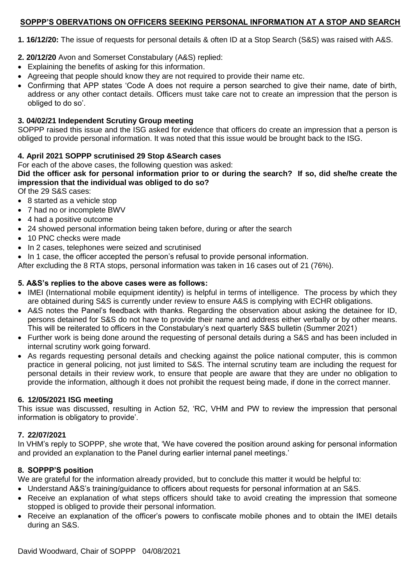# **SOPPP'S OBERVATIONS ON OFFICERS SEEKING PERSONAL INFORMATION AT A STOP AND SEARCH**

**1. 16/12/20:** The issue of requests for personal details & often ID at a Stop Search (S&S) was raised with A&S.

- **2. 20/12/20** Avon and Somerset Constabulary (A&S) replied:
- Explaining the benefits of asking for this information.
- Agreeing that people should know they are not required to provide their name etc.
- Confirming that APP states 'Code A does not require a person searched to give their name, date of birth, address or any other contact details. Officers must take care not to create an impression that the person is obliged to do so'.

### **3. 04/02/21 Independent Scrutiny Group meeting**

SOPPP raised this issue and the ISG asked for evidence that officers do create an impression that a person is obliged to provide personal information. It was noted that this issue would be brought back to the ISG.

## **4. April 2021 SOPPP scrutinised 29 Stop &Search cases**

For each of the above cases, the following question was asked:

**Did the officer ask for personal information prior to or during the search? If so, did she/he create the impression that the individual was obliged to do so?**

Of the 29 S&S cases:

- 8 started as a vehicle stop
- 7 had no or incomplete BWV
- 4 had a positive outcome
- 24 showed personal information being taken before, during or after the search
- 10 PNC checks were made
- In 2 cases, telephones were seized and scrutinised

• In 1 case, the officer accepted the person's refusal to provide personal information.

After excluding the 8 RTA stops, personal information was taken in 16 cases out of 21 (76%).

## **5. A&S's replies to the above cases were as follows:**

- IMEI (International mobile equipment identity) is helpful in terms of intelligence. The process by which they are obtained during S&S is currently under review to ensure A&S is complying with ECHR obligations.
- A&S notes the Panel's feedback with thanks. Regarding the observation about asking the detainee for ID, persons detained for S&S do not have to provide their name and address either verbally or by other means. This will be reiterated to officers in the Constabulary's next quarterly S&S bulletin (Summer 2021)
- Further work is being done around the requesting of personal details during a S&S and has been included in internal scrutiny work going forward.
- As regards requesting personal details and checking against the police national computer, this is common practice in general policing, not just limited to S&S. The internal scrutiny team are including the request for personal details in their review work, to ensure that people are aware that they are under no obligation to provide the information, although it does not prohibit the request being made, if done in the correct manner.

#### **6. 12/05/2021 ISG meeting**

This issue was discussed, resulting in Action 52, 'RC, VHM and PW to review the impression that personal information is obligatory to provide'.

# **7. 22/07/2021**

In VHM's reply to SOPPP, she wrote that, 'We have covered the position around asking for personal information and provided an explanation to the Panel during earlier internal panel meetings.'

# **8. SOPPP'S position**

We are grateful for the information already provided, but to conclude this matter it would be helpful to:

- Understand A&S's training/guidance to officers about requests for personal information at an S&S.
- Receive an explanation of what steps officers should take to avoid creating the impression that someone stopped is obliged to provide their personal information.
- Receive an explanation of the officer's powers to confiscate mobile phones and to obtain the IMEI details during an S&S.